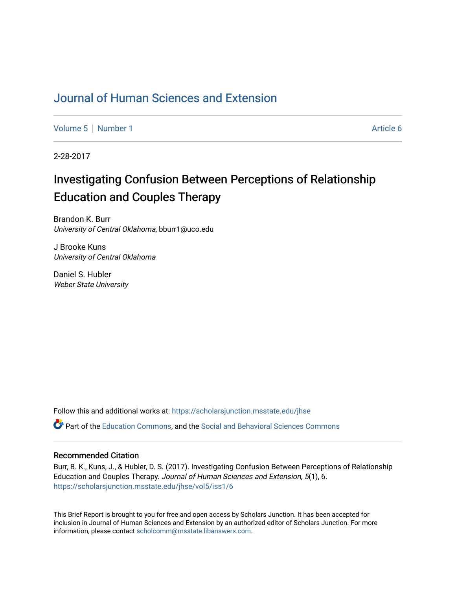# [Journal of Human Sciences and Extension](https://scholarsjunction.msstate.edu/jhse)

[Volume 5](https://scholarsjunction.msstate.edu/jhse/vol5) | [Number 1](https://scholarsjunction.msstate.edu/jhse/vol5/iss1) Article 6

2-28-2017

# Investigating Confusion Between Perceptions of Relationship Education and Couples Therapy

Brandon K. Burr University of Central Oklahoma, bburr1@uco.edu

J Brooke Kuns University of Central Oklahoma

Daniel S. Hubler Weber State University

Follow this and additional works at: [https://scholarsjunction.msstate.edu/jhse](https://scholarsjunction.msstate.edu/jhse?utm_source=scholarsjunction.msstate.edu%2Fjhse%2Fvol5%2Fiss1%2F6&utm_medium=PDF&utm_campaign=PDFCoverPages)

Part of the [Education Commons](http://network.bepress.com/hgg/discipline/784?utm_source=scholarsjunction.msstate.edu%2Fjhse%2Fvol5%2Fiss1%2F6&utm_medium=PDF&utm_campaign=PDFCoverPages), and the [Social and Behavioral Sciences Commons](http://network.bepress.com/hgg/discipline/316?utm_source=scholarsjunction.msstate.edu%2Fjhse%2Fvol5%2Fiss1%2F6&utm_medium=PDF&utm_campaign=PDFCoverPages) 

#### Recommended Citation

Burr, B. K., Kuns, J., & Hubler, D. S. (2017). Investigating Confusion Between Perceptions of Relationship Education and Couples Therapy. Journal of Human Sciences and Extension, 5(1), 6. [https://scholarsjunction.msstate.edu/jhse/vol5/iss1/6](https://scholarsjunction.msstate.edu/jhse/vol5/iss1/6?utm_source=scholarsjunction.msstate.edu%2Fjhse%2Fvol5%2Fiss1%2F6&utm_medium=PDF&utm_campaign=PDFCoverPages)

This Brief Report is brought to you for free and open access by Scholars Junction. It has been accepted for inclusion in Journal of Human Sciences and Extension by an authorized editor of Scholars Junction. For more information, please contact [scholcomm@msstate.libanswers.com](mailto:scholcomm@msstate.libanswers.com).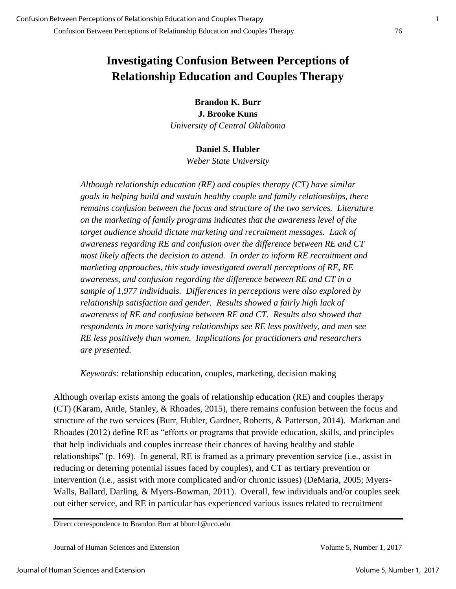**Brandon K. Burr J. Brooke Kuns**  *University of Central Oklahoma* 

### **Daniel S. Hubler**

*Weber State University* 

*Although relationship education (RE) and couples therapy (CT) have similar goals in helping build and sustain healthy couple and family relationships, there remains confusion between the focus and structure of the two services. Literature on the marketing of family programs indicates that the awareness level of the target audience should dictate marketing and recruitment messages. Lack of awareness regarding RE and confusion over the difference between RE and CT most likely affects the decision to attend. In order to inform RE recruitment and marketing approaches, this study investigated overall perceptions of RE, RE awareness, and confusion regarding the difference between RE and CT in a sample of 1,977 individuals. Differences in perceptions were also explored by relationship satisfaction and gender. Results showed a fairly high lack of awareness of RE and confusion between RE and CT. Results also showed that respondents in more satisfying relationships see RE less positively, and men see RE less positively than women. Implications for practitioners and researchers are presented.* 

*Keywords:* relationship education, couples, marketing, decision making

Although overlap exists among the goals of relationship education (RE) and couples therapy (CT) (Karam, Antle, Stanley, & Rhoades, 2015), there remains confusion between the focus and structure of the two services (Burr, Hubler, Gardner, Roberts, & Patterson, 2014). Markman and Rhoades (2012) define RE as "efforts or programs that provide education, skills, and principles that help individuals and couples increase their chances of having healthy and stable relationships" (p. 169). In general, RE is framed as a primary prevention service (i.e., assist in reducing or deterring potential issues faced by couples), and CT as tertiary prevention or intervention (i.e., assist with more complicated and/or chronic issues) (DeMaria, 2005; Myers-Walls, Ballard, Darling, & Myers-Bowman, 2011). Overall, few individuals and/or couples seek out either service, and RE in particular has experienced various issues related to recruitment

Direct correspondence to Brandon Burr at bburr1@uco.edu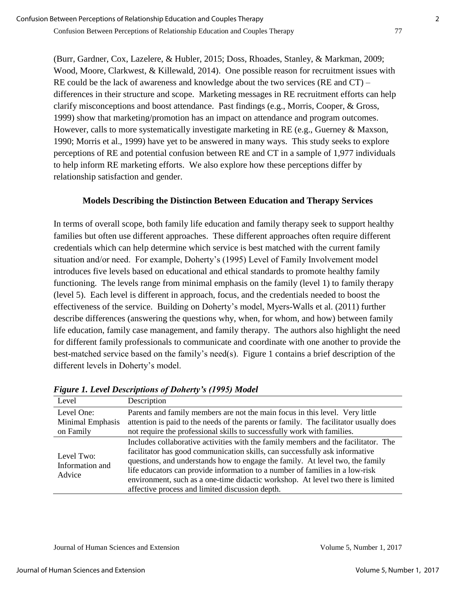(Burr, Gardner, Cox, Lazelere, & Hubler, 2015; Doss, Rhoades, Stanley, & Markman, 2009; Wood, Moore, Clarkwest, & Killewald, 2014). One possible reason for recruitment issues with RE could be the lack of awareness and knowledge about the two services (RE and CT) – differences in their structure and scope. Marketing messages in RE recruitment efforts can help clarify misconceptions and boost attendance. Past findings (e.g., Morris, Cooper, & Gross, 1999) show that marketing/promotion has an impact on attendance and program outcomes. However, calls to more systematically investigate marketing in RE (e.g., Guerney & Maxson, 1990; Morris et al., 1999) have yet to be answered in many ways. This study seeks to explore perceptions of RE and potential confusion between RE and CT in a sample of 1,977 individuals to help inform RE marketing efforts. We also explore how these perceptions differ by relationship satisfaction and gender.

#### **Models Describing the Distinction Between Education and Therapy Services**

In terms of overall scope, both family life education and family therapy seek to support healthy families but often use different approaches. These different approaches often require different credentials which can help determine which service is best matched with the current family situation and/or need. For example, Doherty's (1995) Level of Family Involvement model introduces five levels based on educational and ethical standards to promote healthy family functioning. The levels range from minimal emphasis on the family (level 1) to family therapy (level 5). Each level is different in approach, focus, and the credentials needed to boost the effectiveness of the service. Building on Doherty's model, Myers-Walls et al. (2011) further describe differences (answering the questions why, when, for whom, and how) between family life education, family case management, and family therapy. The authors also highlight the need for different family professionals to communicate and coordinate with one another to provide the best-matched service based on the family's need(s). Figure 1 contains a brief description of the different levels in Doherty's model.

| Level                                       | Description                                                                                                                                                                                                                                                                                                                                                                                                                                                               |
|---------------------------------------------|---------------------------------------------------------------------------------------------------------------------------------------------------------------------------------------------------------------------------------------------------------------------------------------------------------------------------------------------------------------------------------------------------------------------------------------------------------------------------|
| Level One:<br>Minimal Emphasis<br>on Family | Parents and family members are not the main focus in this level. Very little<br>attention is paid to the needs of the parents or family. The facilitator usually does<br>not require the professional skills to successfully work with families.                                                                                                                                                                                                                          |
| Level Two:<br>Information and<br>Advice     | Includes collaborative activities with the family members and the facilitator. The<br>facilitator has good communication skills, can successfully ask informative<br>questions, and understands how to engage the family. At level two, the family<br>life educators can provide information to a number of families in a low-risk<br>environment, such as a one-time didactic workshop. At level two there is limited<br>affective process and limited discussion depth. |

*Figure 1. Level Descriptions of Doherty's (1995) Model*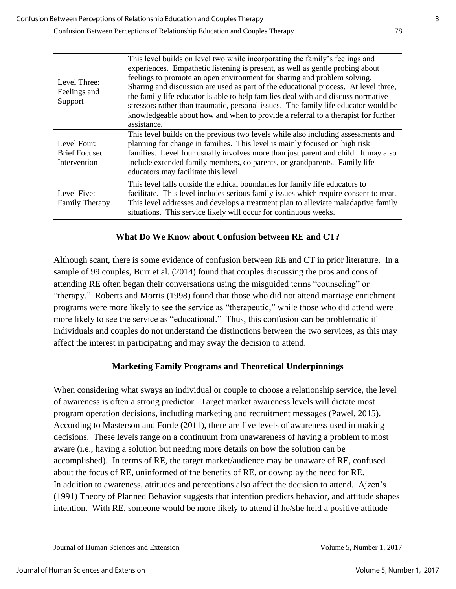| Level Three:<br>Feelings and<br>Support             | This level builds on level two while incorporating the family's feelings and<br>experiences. Empathetic listening is present, as well as gentle probing about<br>feelings to promote an open environment for sharing and problem solving.<br>Sharing and discussion are used as part of the educational process. At level three,<br>the family life educator is able to help families deal with and discuss normative<br>stressors rather than traumatic, personal issues. The family life educator would be<br>knowledgeable about how and when to provide a referral to a therapist for further<br>assistance. |
|-----------------------------------------------------|------------------------------------------------------------------------------------------------------------------------------------------------------------------------------------------------------------------------------------------------------------------------------------------------------------------------------------------------------------------------------------------------------------------------------------------------------------------------------------------------------------------------------------------------------------------------------------------------------------------|
| Level Four:<br><b>Brief Focused</b><br>Intervention | This level builds on the previous two levels while also including assessments and<br>planning for change in families. This level is mainly focused on high risk<br>families. Level four usually involves more than just parent and child. It may also<br>include extended family members, co parents, or grandparents. Family life<br>educators may facilitate this level.                                                                                                                                                                                                                                       |
| Level Five:<br><b>Family Therapy</b>                | This level falls outside the ethical boundaries for family life educators to<br>facilitate. This level includes serious family issues which require consent to treat.<br>This level addresses and develops a treatment plan to alleviate maladaptive family<br>situations. This service likely will occur for continuous weeks.                                                                                                                                                                                                                                                                                  |

#### **What Do We Know about Confusion between RE and CT?**

Although scant, there is some evidence of confusion between RE and CT in prior literature. In a sample of 99 couples, Burr et al. (2014) found that couples discussing the pros and cons of attending RE often began their conversations using the misguided terms "counseling" or "therapy." Roberts and Morris (1998) found that those who did not attend marriage enrichment programs were more likely to see the service as "therapeutic," while those who did attend were more likely to see the service as "educational." Thus, this confusion can be problematic if individuals and couples do not understand the distinctions between the two services, as this may affect the interest in participating and may sway the decision to attend.

### **Marketing Family Programs and Theoretical Underpinnings**

When considering what sways an individual or couple to choose a relationship service, the level of awareness is often a strong predictor. Target market awareness levels will dictate most program operation decisions, including marketing and recruitment messages (Pawel, 2015). According to Masterson and Forde (2011), there are five levels of awareness used in making decisions. These levels range on a continuum from unawareness of having a problem to most aware (i.e., having a solution but needing more details on how the solution can be accomplished). In terms of RE, the target market/audience may be unaware of RE, confused about the focus of RE, uninformed of the benefits of RE, or downplay the need for RE. In addition to awareness, attitudes and perceptions also affect the decision to attend. Ajzen's (1991) Theory of Planned Behavior suggests that intention predicts behavior, and attitude shapes intention. With RE, someone would be more likely to attend if he/she held a positive attitude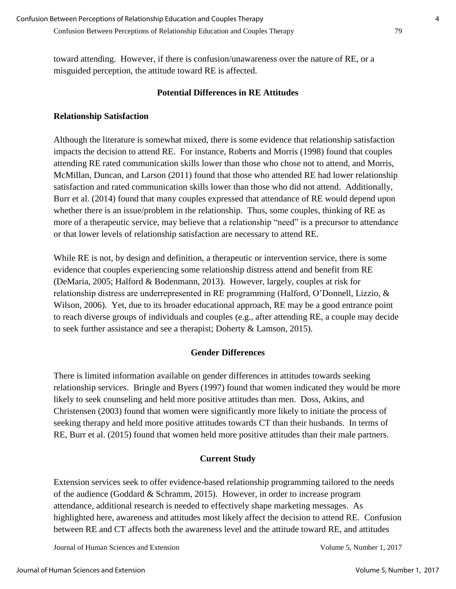toward attending. However, if there is confusion/unawareness over the nature of RE, or a

misguided perception, the attitude toward RE is affected.

# **Potential Differences in RE Attitudes**

# **Relationship Satisfaction**

Although the literature is somewhat mixed, there is some evidence that relationship satisfaction impacts the decision to attend RE. For instance, Roberts and Morris (1998) found that couples attending RE rated communication skills lower than those who chose not to attend, and Morris, McMillan, Duncan, and Larson (2011) found that those who attended RE had lower relationship satisfaction and rated communication skills lower than those who did not attend. Additionally, Burr et al. (2014) found that many couples expressed that attendance of RE would depend upon whether there is an issue/problem in the relationship. Thus, some couples, thinking of RE as more of a therapeutic service, may believe that a relationship "need" is a precursor to attendance or that lower levels of relationship satisfaction are necessary to attend RE.

While RE is not, by design and definition, a therapeutic or intervention service, there is some evidence that couples experiencing some relationship distress attend and benefit from RE (DeMaria, 2005; Halford & Bodenmann, 2013). However, largely, couples at risk for relationship distress are underrepresented in RE programming (Halford, O'Donnell, Lizzio, & Wilson, 2006). Yet, due to its broader educational approach, RE may be a good entrance point to reach diverse groups of individuals and couples (e.g., after attending RE, a couple may decide to seek further assistance and see a therapist; Doherty & Lamson, 2015).

# **Gender Differences**

There is limited information available on gender differences in attitudes towards seeking relationship services. Bringle and Byers (1997) found that women indicated they would be more likely to seek counseling and held more positive attitudes than men. Doss, Atkins, and Christensen (2003) found that women were significantly more likely to initiate the process of seeking therapy and held more positive attitudes towards CT than their husbands. In terms of RE, Burr et al. (2015) found that women held more positive attitudes than their male partners.

# **Current Study**

Extension services seek to offer evidence-based relationship programming tailored to the needs of the audience (Goddard & Schramm, 2015). However, in order to increase program attendance, additional research is needed to effectively shape marketing messages. As highlighted here, awareness and attitudes most likely affect the decision to attend RE. Confusion between RE and CT affects both the awareness level and the attitude toward RE, and attitudes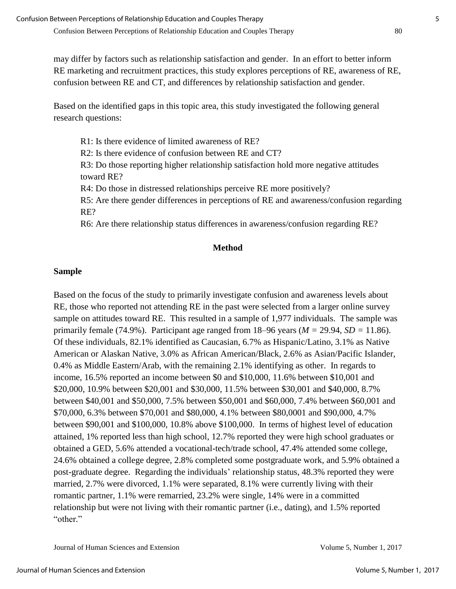may differ by factors such as relationship satisfaction and gender. In an effort to better inform RE marketing and recruitment practices, this study explores perceptions of RE, awareness of RE, confusion between RE and CT, and differences by relationship satisfaction and gender.

Based on the identified gaps in this topic area, this study investigated the following general research questions:

R1: Is there evidence of limited awareness of RE?

R2: Is there evidence of confusion between RE and CT?

R3: Do those reporting higher relationship satisfaction hold more negative attitudes toward RE?

R4: Do those in distressed relationships perceive RE more positively?

R5: Are there gender differences in perceptions of RE and awareness/confusion regarding RE?

R6: Are there relationship status differences in awareness/confusion regarding RE?

### **Method**

# **Sample**

Based on the focus of the study to primarily investigate confusion and awareness levels about RE, those who reported not attending RE in the past were selected from a larger online survey sample on attitudes toward RE. This resulted in a sample of 1,977 individuals. The sample was primarily female (74.9%). Participant age ranged from 18–96 years (*M =* 29.94, *SD =* 11.86). Of these individuals, 82.1% identified as Caucasian, 6.7% as Hispanic/Latino, 3.1% as Native American or Alaskan Native, 3.0% as African American/Black, 2.6% as Asian/Pacific Islander, 0.4% as Middle Eastern/Arab, with the remaining 2.1% identifying as other. In regards to income, 16.5% reported an income between \$0 and \$10,000, 11.6% between \$10,001 and \$20,000, 10.9% between \$20,001 and \$30,000, 11.5% between \$30,001 and \$40,000, 8.7% between \$40,001 and \$50,000, 7.5% between \$50,001 and \$60,000, 7.4% between \$60,001 and \$70,000, 6.3% between \$70,001 and \$80,000, 4.1% between \$80,0001 and \$90,000, 4.7% between \$90,001 and \$100,000, 10.8% above \$100,000. In terms of highest level of education attained, 1% reported less than high school, 12.7% reported they were high school graduates or obtained a GED, 5.6% attended a vocational-tech/trade school, 47.4% attended some college, 24.6% obtained a college degree, 2.8% completed some postgraduate work, and 5.9% obtained a post-graduate degree. Regarding the individuals' relationship status, 48.3% reported they were married, 2.7% were divorced, 1.1% were separated, 8.1% were currently living with their romantic partner, 1.1% were remarried, 23.2% were single, 14% were in a committed relationship but were not living with their romantic partner (i.e., dating), and 1.5% reported "other."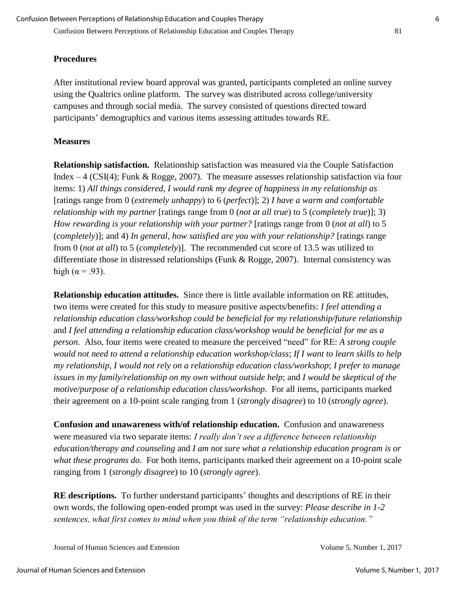### **Procedures**

After institutional review board approval was granted, participants completed an online survey using the Qualtrics online platform. The survey was distributed across college/university campuses and through social media. The survey consisted of questions directed toward participants' demographics and various items assessing attitudes towards RE.

#### **Measures**

**Relationship satisfaction.** Relationship satisfaction was measured via the Couple Satisfaction Index  $-4$  (CSI(4); Funk & Rogge, 2007). The measure assesses relationship satisfaction via four items: 1) *All things considered, I would rank my degree of happiness in my relationship as*  [ratings range from 0 (*extremely unhappy*) to 6 (*perfect*)]; 2) *I have a warm and comfortable relationship with my partner* [ratings range from 0 (*not at all true*) to 5 (*completely true*)]; 3) *How rewarding is your relationship with your partner?* [ratings range from 0 (*not at all*) to 5 (*completely*)]; and 4) *In general, how satisfied are you with your relationship?* [ratings range from 0 (*not at all*) to 5 (*completely*)]. The recommended cut score of 13.5 was utilized to differentiate those in distressed relationships (Funk & Rogge, 2007). Internal consistency was high ( $\alpha$  = .93).

**Relationship education attitudes.** Since there is little available information on RE attitudes, two items were created for this study to measure positive aspects/benefits: *I feel attending a relationship education class/workshop could be beneficial for my relationship/future relationship* and *I feel attending a relationship education class/workshop would be beneficial for me as a person*. Also, four items were created to measure the perceived "need" for RE: *A strong couple would not need to attend a relationship education workshop/class*; *If I want to learn skills to help my relationship, I would not rely on a relationship education class/workshop*; *I prefer to manage issues in my family/relationship on my own without outside help*; and *I would be skeptical of the motive/purpose of a relationship education class/workshop*. For all items, participants marked their agreement on a 10-point scale ranging from 1 (*strongly disagree*) to 10 (*strongly agree*).

**Confusion and unawareness with/of relationship education.** Confusion and unawareness were measured via two separate items: *I really don't see a difference between relationship education/therapy and counseling* and *I am not sure what a relationship education program is or what these programs do*. For both items, participants marked their agreement on a 10-point scale ranging from 1 (*strongly disagree*) to 10 (*strongly agree*).

**RE descriptions.** To further understand participants' thoughts and descriptions of RE in their own words, the following open-ended prompt was used in the survey: *Please describe in 1-2 sentences, what first comes to mind when you think of the term "relationship education."*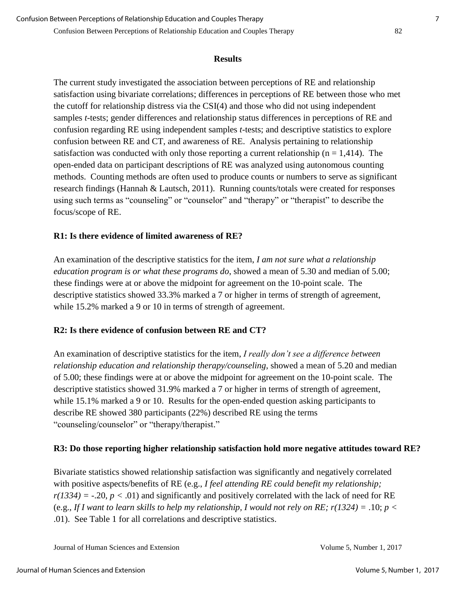#### **Results**

The current study investigated the association between perceptions of RE and relationship satisfaction using bivariate correlations; differences in perceptions of RE between those who met the cutoff for relationship distress via the CSI(4) and those who did not using independent samples *t*-tests; gender differences and relationship status differences in perceptions of RE and confusion regarding RE using independent samples *t*-tests; and descriptive statistics to explore confusion between RE and CT, and awareness of RE. Analysis pertaining to relationship satisfaction was conducted with only those reporting a current relationship ( $n = 1,414$ ). The open-ended data on participant descriptions of RE was analyzed using autonomous counting methods. Counting methods are often used to produce counts or numbers to serve as significant research findings (Hannah & Lautsch, 2011). Running counts/totals were created for responses using such terms as "counseling" or "counselor" and "therapy" or "therapist" to describe the focus/scope of RE.

### **R1: Is there evidence of limited awareness of RE?**

An examination of the descriptive statistics for the item, *I am not sure what a relationship education program is or what these programs do*, showed a mean of 5.30 and median of 5.00; these findings were at or above the midpoint for agreement on the 10-point scale. The descriptive statistics showed 33.3% marked a 7 or higher in terms of strength of agreement, while 15.2% marked a 9 or 10 in terms of strength of agreement.

# **R2: Is there evidence of confusion between RE and CT?**

An examination of descriptive statistics for the item, *I really don't see a difference between relationship education and relationship therapy/counseling*, showed a mean of 5.20 and median of 5.00; these findings were at or above the midpoint for agreement on the 10-point scale. The descriptive statistics showed 31.9% marked a 7 or higher in terms of strength of agreement, while 15.1% marked a 9 or 10. Results for the open-ended question asking participants to describe RE showed 380 participants (22%) described RE using the terms "counseling/counselor" or "therapy/therapist."

# **R3: Do those reporting higher relationship satisfaction hold more negative attitudes toward RE?**

Bivariate statistics showed relationship satisfaction was significantly and negatively correlated with positive aspects/benefits of RE (e.g., *I feel attending RE could benefit my relationship;*   $r(1334) = -0.20$ ,  $p < 0.01$ ) and significantly and positively correlated with the lack of need for RE (e.g., *If I want to learn skills to help my relationship, I would not rely on RE; r(1324) =* .10; *p <* .01). See Table 1 for all correlations and descriptive statistics.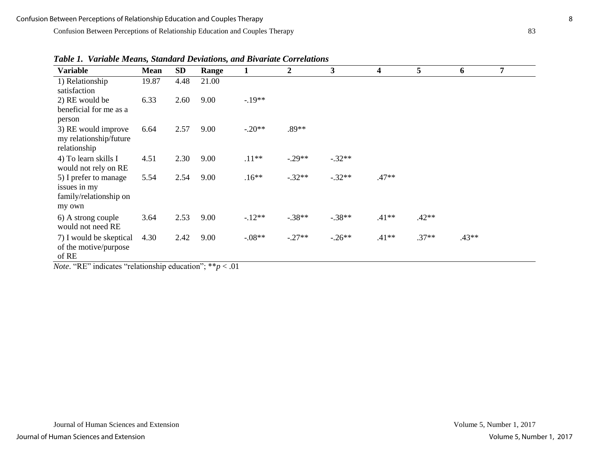Confusion Between Perceptions of Relationship Education and Couples Therapy 83

| <b>Variable</b>                                                                   | <b>Mean</b> | <b>SD</b> | Range                                                               | 1        | $\boldsymbol{2}$ | 3        | 4       | 5       | 6       | 7 |
|-----------------------------------------------------------------------------------|-------------|-----------|---------------------------------------------------------------------|----------|------------------|----------|---------|---------|---------|---|
| 1) Relationship<br>satisfaction                                                   | 19.87       | 4.48      | 21.00                                                               |          |                  |          |         |         |         |   |
| 2) RE would be<br>beneficial for me as a                                          | 6.33        | 2.60      | 9.00                                                                | $-.19**$ |                  |          |         |         |         |   |
| person<br>3) RE would improve<br>my relationship/future<br>relationship           | 6.64        | 2.57      | 9.00                                                                | $-.20**$ | .89**            |          |         |         |         |   |
| 4) To learn skills I<br>would not rely on RE                                      | 4.51        | 2.30      | 9.00                                                                | $.11**$  | $-.29**$         | $-.32**$ |         |         |         |   |
| 5) I prefer to manage<br>issues in my<br>family/relationship on<br>my own         | 5.54        | 2.54      | 9.00                                                                | $.16**$  | $-.32**$         | $-.32**$ | $.47**$ |         |         |   |
| 6) A strong couple<br>would not need RE                                           | 3.64        | 2.53      | 9.00                                                                | $-12**$  | $-.38**$         | $-.38**$ | $.41**$ | $.42**$ |         |   |
| 7) I would be skeptical<br>of the motive/purpose<br>of RE<br>$(0.7222)$ $(1.722)$ | 4.30        | 2.42      | 9.00<br>and the study of the state of the state of<br>$\sim$ $\sim$ | $-08**$  | $-.27**$         | $-.26**$ | $.41**$ | $.37**$ | $.43**$ |   |

*Table 1. Variable Means, Standard Deviations, and Bivariate Correlations* 

*Note*. "RE" indicates "relationship education"; \*\**p* < .01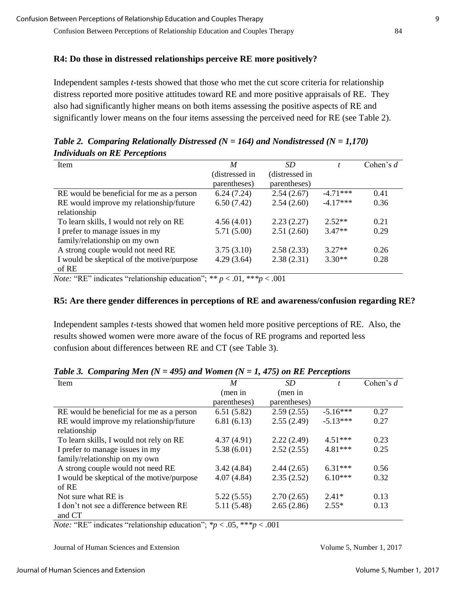#### **R4: Do those in distressed relationships perceive RE more positively?**

Independent samples *t*-tests showed that those who met the cut score criteria for relationship distress reported more positive attitudes toward RE and more positive appraisals of RE. They also had significantly higher means on both items assessing the positive aspects of RE and significantly lower means on the four items assessing the perceived need for RE (see Table 2).

| M              | SD             |            | Cohen's $d$ |
|----------------|----------------|------------|-------------|
| (distressed in | (distressed in |            |             |
| parentheses)   | parentheses)   |            |             |
| 6.24(7.24)     | 2.54(2.67)     | $-4.71***$ | 0.41        |
| 6.50(7.42)     | 2.54(2.60)     | $-4.17***$ | 0.36        |
|                |                |            |             |
| 4.56(4.01)     | 2.23(2.27)     | $2.52**$   | 0.21        |
| 5.71(5.00)     | 2.51(2.60)     | $3.47**$   | 0.29        |
|                |                |            |             |
| 3.75(3.10)     | 2.58(2.33)     | $3.27**$   | 0.26        |
| 4.29(3.64)     | 2.38(2.31)     | $3.30**$   | 0.28        |
|                |                |            |             |
|                |                |            |             |

*Table 2. Comparing Relationally Distressed (N = 164) and Nondistressed (N = 1,170) Individuals on RE Perceptions* 

*Note:* "RE" indicates "relationship education"; *\*\* p* < .01, \*\**\*p* < .001

#### **R5: Are there gender differences in perceptions of RE and awareness/confusion regarding RE?**

Independent samples *t*-tests showed that women held more positive perceptions of RE. Also, the results showed women were more aware of the focus of RE programs and reported less confusion about differences between RE and CT (see Table 3).

| Item                                                                                                                                                                                                                                                                                                                                                                                                                               | $\boldsymbol{M}$                                     | SD           |            | Cohen's $d$ |
|------------------------------------------------------------------------------------------------------------------------------------------------------------------------------------------------------------------------------------------------------------------------------------------------------------------------------------------------------------------------------------------------------------------------------------|------------------------------------------------------|--------------|------------|-------------|
|                                                                                                                                                                                                                                                                                                                                                                                                                                    | (men in                                              | (men in      |            |             |
|                                                                                                                                                                                                                                                                                                                                                                                                                                    | parentheses)                                         | parentheses) |            |             |
| RE would be beneficial for me as a person                                                                                                                                                                                                                                                                                                                                                                                          | 6.51(5.82)                                           | 2.59(2.55)   | $-5.16***$ | 0.27        |
| RE would improve my relationship/future                                                                                                                                                                                                                                                                                                                                                                                            | 6.81(6.13)                                           | 2.55(2.49)   | $-5.13***$ | 0.27        |
| relationship                                                                                                                                                                                                                                                                                                                                                                                                                       |                                                      |              |            |             |
| To learn skills, I would not rely on RE                                                                                                                                                                                                                                                                                                                                                                                            | 4.37(4.91)                                           | 2.22(2.49)   | $4.51***$  | 0.23        |
| I prefer to manage issues in my                                                                                                                                                                                                                                                                                                                                                                                                    | 5.38(6.01)                                           | 2.52(2.55)   | $4.81***$  | 0.25        |
| family/relationship on my own                                                                                                                                                                                                                                                                                                                                                                                                      |                                                      |              |            |             |
| A strong couple would not need RE                                                                                                                                                                                                                                                                                                                                                                                                  | 3.42(4.84)                                           | 2.44(2.65)   | $6.31***$  | 0.56        |
| I would be skeptical of the motive/purpose                                                                                                                                                                                                                                                                                                                                                                                         | 4.07(4.84)                                           | 2.35(2.52)   | $6.10***$  | 0.32        |
| of RE                                                                                                                                                                                                                                                                                                                                                                                                                              |                                                      |              |            |             |
| Not sure what RE is                                                                                                                                                                                                                                                                                                                                                                                                                | 5.22(5.55)                                           | 2.70(2.65)   | $2.41*$    | 0.13        |
| I don't not see a difference between RE                                                                                                                                                                                                                                                                                                                                                                                            | 5.11(5.48)                                           | 2.65(2.86)   | $2.55*$    | 0.13        |
| and CT                                                                                                                                                                                                                                                                                                                                                                                                                             |                                                      |              |            |             |
| $\mathbf{1}$ $\mathbf{1}$ $\mathbf{1}$ $\mathbf{1}$ $\mathbf{1}$ $\mathbf{1}$ $\mathbf{1}$ $\mathbf{1}$ $\mathbf{1}$ $\mathbf{1}$ $\mathbf{1}$ $\mathbf{1}$ $\mathbf{1}$ $\mathbf{1}$ $\mathbf{1}$ $\mathbf{1}$ $\mathbf{1}$ $\mathbf{1}$ $\mathbf{1}$ $\mathbf{1}$ $\mathbf{1}$ $\mathbf{1}$ $\mathbf{1}$ $\mathbf{1}$ $\mathbf{$<br>$\cdots$<br>$\mathbf{1}$ $\mathbf{1}$<br>$\mathbf{r}$ $\mathbf{r}$ $\mathbf{r}$ $\mathbf{r}$ | $22 - 14$<br>$\bigcap_{i=1}^n$ and $\bigcap_{i=1}^n$ | 0.01         |            |             |

*Table 3. Comparing Men (N = 495) and Women (N = 1, 475) on RE Perceptions* 

*Note:* "RE" indicates "relationship education";  $\frac{p}{p}$  < .05, \*\*\* $p$  < .001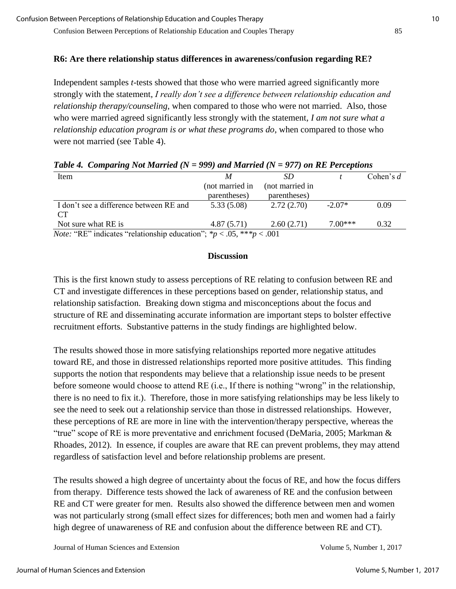# **R6: Are there relationship status differences in awareness/confusion regarding RE?**

Independent samples *t-*tests showed that those who were married agreed significantly more strongly with the statement, *I really don't see a difference between relationship education and relationship therapy/counseling*, when compared to those who were not married. Also, those who were married agreed significantly less strongly with the statement, *I am not sure what a relationship education program is or what these programs do*, when compared to those who were not married (see Table 4).

| Tuble 4. Comparing type matrica (iv $-$ 222) and matrica (iv $-$ 211) on KE I crecitions |                 |                 |           |             |  |
|------------------------------------------------------------------------------------------|-----------------|-----------------|-----------|-------------|--|
| Item                                                                                     | M               | SD.             |           | Cohen's $d$ |  |
|                                                                                          | (not married in | (not married in |           |             |  |
|                                                                                          | parentheses)    | parentheses)    |           |             |  |
| I don't see a difference between RE and                                                  | 5.33(5.08)      | 2.72(2.70)      | $-2.07*$  | 0.09        |  |
| CT <sup>-</sup>                                                                          |                 |                 |           |             |  |
| Not sure what RE is                                                                      | 4.87(5.71)      | 2.60(2.71)      | $7.00***$ | 0.32        |  |
| <i>Note:</i> "RE" indicates "relationship education"; $np < .05$ , *** $p < .001$        |                 |                 |           |             |  |

# *Table 4. Comparing Not Married (N = 999) and Married (N = 977) on RE Perceptions*

#### **Discussion**

This is the first known study to assess perceptions of RE relating to confusion between RE and CT and investigate differences in these perceptions based on gender, relationship status, and relationship satisfaction. Breaking down stigma and misconceptions about the focus and structure of RE and disseminating accurate information are important steps to bolster effective recruitment efforts. Substantive patterns in the study findings are highlighted below.

The results showed those in more satisfying relationships reported more negative attitudes toward RE, and those in distressed relationships reported more positive attitudes. This finding supports the notion that respondents may believe that a relationship issue needs to be present before someone would choose to attend RE (i.e., If there is nothing "wrong" in the relationship, there is no need to fix it.). Therefore, those in more satisfying relationships may be less likely to see the need to seek out a relationship service than those in distressed relationships. However, these perceptions of RE are more in line with the intervention/therapy perspective, whereas the "true" scope of RE is more preventative and enrichment focused (DeMaria, 2005; Markman & Rhoades, 2012). In essence, if couples are aware that RE can prevent problems, they may attend regardless of satisfaction level and before relationship problems are present.

The results showed a high degree of uncertainty about the focus of RE, and how the focus differs from therapy. Difference tests showed the lack of awareness of RE and the confusion between RE and CT were greater for men. Results also showed the difference between men and women was not particularly strong (small effect sizes for differences; both men and women had a fairly high degree of unawareness of RE and confusion about the difference between RE and CT).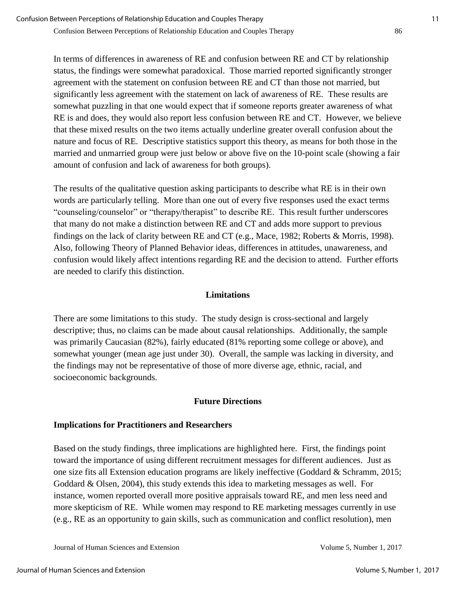In terms of differences in awareness of RE and confusion between RE and CT by relationship status, the findings were somewhat paradoxical. Those married reported significantly stronger agreement with the statement on confusion between RE and CT than those not married, but significantly less agreement with the statement on lack of awareness of RE. These results are somewhat puzzling in that one would expect that if someone reports greater awareness of what RE is and does, they would also report less confusion between RE and CT. However, we believe that these mixed results on the two items actually underline greater overall confusion about the nature and focus of RE. Descriptive statistics support this theory, as means for both those in the married and unmarried group were just below or above five on the 10-point scale (showing a fair amount of confusion and lack of awareness for both groups).

The results of the qualitative question asking participants to describe what RE is in their own words are particularly telling. More than one out of every five responses used the exact terms "counseling/counselor" or "therapy/therapist" to describe RE. This result further underscores that many do not make a distinction between RE and CT and adds more support to previous findings on the lack of clarity between RE and CT (e.g., Mace, 1982; Roberts & Morris, 1998). Also, following Theory of Planned Behavior ideas, differences in attitudes, unawareness, and confusion would likely affect intentions regarding RE and the decision to attend. Further efforts are needed to clarify this distinction.

## **Limitations**

There are some limitations to this study. The study design is cross-sectional and largely descriptive; thus, no claims can be made about causal relationships. Additionally, the sample was primarily Caucasian (82%), fairly educated (81% reporting some college or above), and somewhat younger (mean age just under 30). Overall, the sample was lacking in diversity, and the findings may not be representative of those of more diverse age, ethnic, racial, and socioeconomic backgrounds.

### **Future Directions**

# **Implications for Practitioners and Researchers**

Based on the study findings, three implications are highlighted here. First, the findings point toward the importance of using different recruitment messages for different audiences. Just as one size fits all Extension education programs are likely ineffective (Goddard & Schramm, 2015; Goddard & Olsen, 2004), this study extends this idea to marketing messages as well. For instance, women reported overall more positive appraisals toward RE, and men less need and more skepticism of RE. While women may respond to RE marketing messages currently in use (e.g., RE as an opportunity to gain skills, such as communication and conflict resolution), men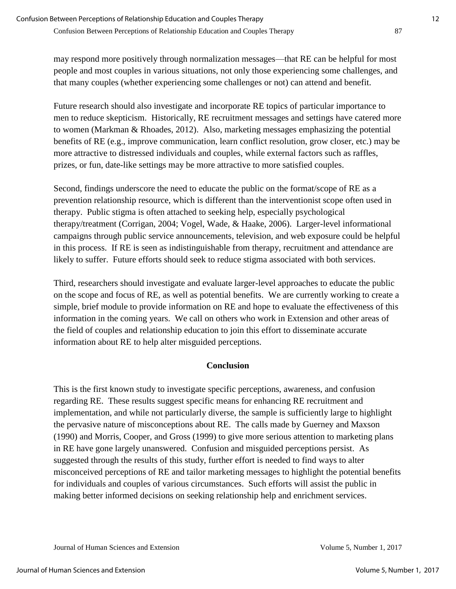may respond more positively through normalization messages—that RE can be helpful for most people and most couples in various situations, not only those experiencing some challenges, and that many couples (whether experiencing some challenges or not) can attend and benefit.

Future research should also investigate and incorporate RE topics of particular importance to men to reduce skepticism. Historically, RE recruitment messages and settings have catered more to women (Markman & Rhoades, 2012). Also, marketing messages emphasizing the potential benefits of RE (e.g., improve communication, learn conflict resolution, grow closer, etc.) may be more attractive to distressed individuals and couples, while external factors such as raffles, prizes, or fun, date-like settings may be more attractive to more satisfied couples.

Second, findings underscore the need to educate the public on the format/scope of RE as a prevention relationship resource, which is different than the interventionist scope often used in therapy. Public stigma is often attached to seeking help, especially psychological therapy/treatment (Corrigan, 2004; Vogel, Wade, & Haake, 2006). Larger-level informational campaigns through public service announcements, television, and web exposure could be helpful in this process. If RE is seen as indistinguishable from therapy, recruitment and attendance are likely to suffer. Future efforts should seek to reduce stigma associated with both services.

Third, researchers should investigate and evaluate larger-level approaches to educate the public on the scope and focus of RE, as well as potential benefits. We are currently working to create a simple, brief module to provide information on RE and hope to evaluate the effectiveness of this information in the coming years. We call on others who work in Extension and other areas of the field of couples and relationship education to join this effort to disseminate accurate information about RE to help alter misguided perceptions.

# **Conclusion**

This is the first known study to investigate specific perceptions, awareness, and confusion regarding RE. These results suggest specific means for enhancing RE recruitment and implementation, and while not particularly diverse, the sample is sufficiently large to highlight the pervasive nature of misconceptions about RE. The calls made by Guerney and Maxson (1990) and Morris, Cooper, and Gross (1999) to give more serious attention to marketing plans in RE have gone largely unanswered. Confusion and misguided perceptions persist. As suggested through the results of this study, further effort is needed to find ways to alter misconceived perceptions of RE and tailor marketing messages to highlight the potential benefits for individuals and couples of various circumstances. Such efforts will assist the public in making better informed decisions on seeking relationship help and enrichment services.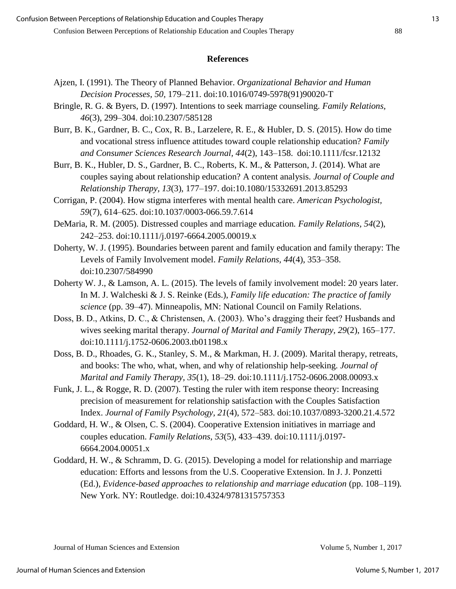#### **References**

- Ajzen, I. (1991). The Theory of Planned Behavior. *Organizational Behavior and Human Decision Processes, 50,* 179–211. doi:10.1016/0749-5978(91)90020-T
- Bringle, R. G. & Byers, D. (1997). Intentions to seek marriage counseling. *Family Relations, 46*(3), 299–304. doi:10.2307/585128
- Burr, B. K., Gardner, B. C., Cox, R. B., Larzelere, R. E., & Hubler, D. S. (2015). How do time and vocational stress influence attitudes toward couple relationship education? *Family and Consumer Sciences Research Journal, 44*(2), 143–158. doi:10.1111/fcsr.12132
- Burr, B. K., Hubler, D. S., Gardner, B. C., Roberts, K. M., & Patterson, J. (2014). What are couples saying about relationship education? A content analysis. *Journal of Couple and Relationship Therapy, 13*(3), 177–197. doi:10.1080/15332691.2013.85293
- Corrigan, P. (2004). How stigma interferes with mental health care. *American Psychologist, 59*(7), 614–625. doi:10.1037/0003-066.59.7.614
- DeMaria, R. M. (2005). Distressed couples and marriage education*. Family Relations, 54*(2), 242–253. doi:10.1111/j.0197-6664.2005.00019.x
- Doherty, W. J. (1995). Boundaries between parent and family education and family therapy: The Levels of Family Involvement model. *Family Relations, 44*(4), 353–358. doi:10.2307/584990
- Doherty W. J., & Lamson, A. L. (2015). The levels of family involvement model: 20 years later. In M. J. Walcheski & J. S. Reinke (Eds.), *Family life education: The practice of family science* (pp. 39–47). Minneapolis, MN: National Council on Family Relations.
- Doss, B. D., Atkins, D. C., & Christensen, A. (2003). Who's dragging their feet? Husbands and wives seeking marital therapy. *Journal of Marital and Family Therapy, 29*(2), 165–177. doi:10.1111/j.1752-0606.2003.tb01198.x
- Doss, B. D., Rhoades, G. K., Stanley, S. M., & Markman, H. J. (2009). Marital therapy, retreats, and books: The who, what, when, and why of relationship help-seeking. *Journal of Marital and Family Therapy, 35*(1), 18–29. doi:10.1111/j.1752-0606.2008.00093.x
- Funk, J. L., & Rogge, R. D. (2007). Testing the ruler with item response theory: Increasing precision of measurement for relationship satisfaction with the Couples Satisfaction Index. *Journal of Family Psychology, 21*(4), 572–583. doi:10.1037/0893-3200.21.4.572
- Goddard, H. W., & Olsen, C. S. (2004). Cooperative Extension initiatives in marriage and couples education. *Family Relations, 53*(5), 433–439. doi:10.1111/j.0197- 6664.2004.00051.x
- Goddard, H. W., & Schramm, D. G. (2015). Developing a model for relationship and marriage education: Efforts and lessons from the U.S. Cooperative Extension. In J. J. Ponzetti (Ed.), *Evidence-based approaches to relationship and marriage education* (pp. 108–119). New York. NY: Routledge. doi:10.4324/9781315757353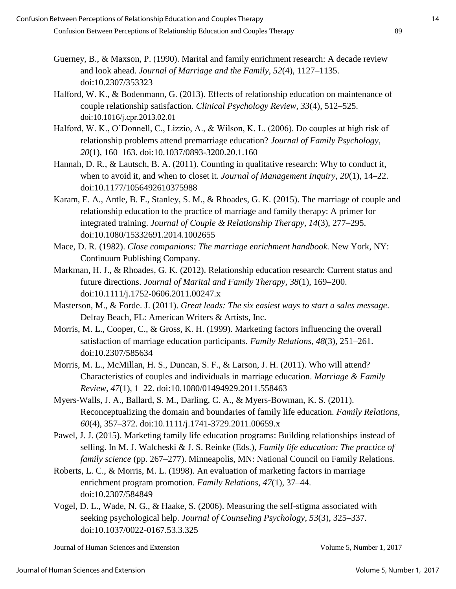- Guerney, B., & Maxson, P. (1990). Marital and family enrichment research: A decade review and look ahead. *Journal of Marriage and the Family, 52*(4), 1127–1135. doi:10.2307/353323
- Halford, W. K., & Bodenmann, G. (2013). Effects of relationship education on maintenance of couple relationship satisfaction. *Clinical Psychology Review, 33*(4), 512–525. doi:10.1016/j.cpr.2013.02.01
- Halford, W. K., O'Donnell, C., Lizzio, A., & Wilson, K. L. (2006). Do couples at high risk of relationship problems attend premarriage education? *Journal of Family Psychology, 20*(1), 160–163. doi:10.1037/0893-3200.20.1.160
- Hannah, D. R., & Lautsch, B. A. (2011). Counting in qualitative research: Why to conduct it, when to avoid it, and when to closet it. *Journal of Management Inquiry, 20*(1), 14–22. doi:10.1177/1056492610375988
- Karam, E. A., Antle, B. F., Stanley, S. M., & Rhoades, G. K. (2015). The marriage of couple and relationship education to the practice of marriage and family therapy: A primer for integrated training. *Journal of Couple & Relationship Therapy, 14*(3), 277–295. doi:10.1080/15332691.2014.1002655
- Mace, D. R. (1982). *Close companions: The marriage enrichment handbook.* New York, NY: Continuum Publishing Company.
- Markman, H. J., & Rhoades, G. K. (2012). Relationship education research: Current status and future directions. *Journal of Marital and Family Therapy, 38*(1), 169–200. doi:10.1111/j.1752-0606.2011.00247.x
- Masterson, M., & Forde. J. (2011). *Great leads: The six easiest ways to start a sales message*. Delray Beach, FL: American Writers & Artists, Inc.
- Morris, M. L., Cooper, C., & Gross, K. H. (1999). Marketing factors influencing the overall satisfaction of marriage education participants. *Family Relations, 48*(3), 251–261. doi:10.2307/585634
- Morris, M. L., McMillan, H. S., Duncan, S. F., & Larson, J. H. (2011). Who will attend? Characteristics of couples and individuals in marriage education. *Marriage & Family Review, 47*(1), 1–22. doi:10.1080/01494929.2011.558463
- Myers-Walls, J. A., Ballard, S. M., Darling, C. A., & Myers-Bowman, K. S. (2011). Reconceptualizing the domain and boundaries of family life education. *Family Relations, 60*(4), 357–372. doi:10.1111/j.1741-3729.2011.00659.x
- Pawel, J. J. (2015). Marketing family life education programs: Building relationships instead of selling. In M. J. Walcheski & J. S. Reinke (Eds.), *Family life education: The practice of family science* (pp. 267–277). Minneapolis, MN: National Council on Family Relations.
- Roberts, L. C., & Morris, M. L. (1998). An evaluation of marketing factors in marriage enrichment program promotion. *Family Relations, 47*(1), 37–44. doi:10.2307/584849
- Vogel, D. L., Wade, N. G., & Haake, S. (2006). Measuring the self-stigma associated with seeking psychological help. *Journal of Counseling Psychology, 53*(3), 325–337. doi:10.1037/0022-0167.53.3.325